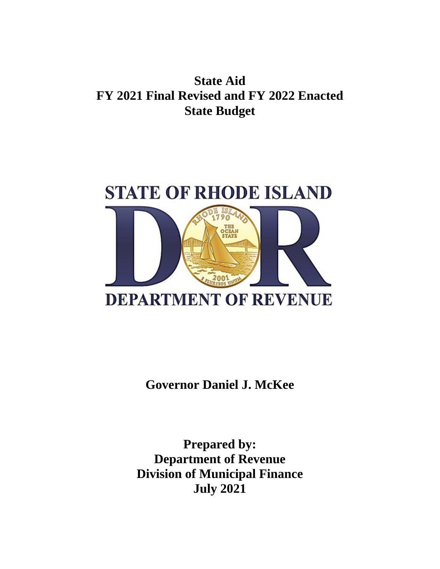## **State Aid FY 2021 Final Revised and FY 2022 Enacted State Budget**



**Governor Daniel J. McKee**

**Prepared by: Department of Revenue Division of Municipal Finance July 2021**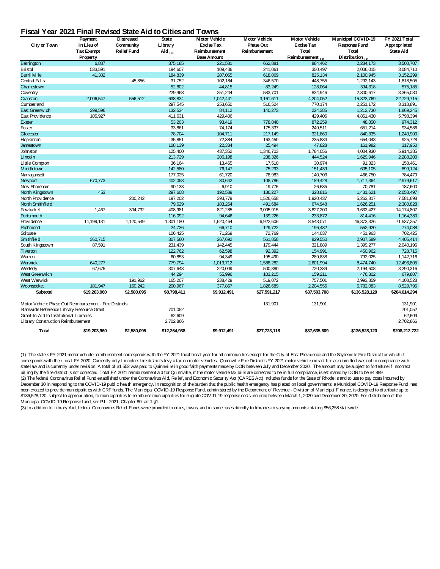| Fiscal Year 2021 Final Revised State Aid to Cities and Towns |  |
|--------------------------------------------------------------|--|
|--------------------------------------------------------------|--|

|                                                        | Payment           | <b>Distressed</b>  | <b>State</b> | <b>Motor Vehicle</b> | <b>Motor Vehicle</b> | <b>Motor Vehicle</b>   | <b>Municipal COVID-19</b> | <b>FY 2021 Total</b> |
|--------------------------------------------------------|-------------------|--------------------|--------------|----------------------|----------------------|------------------------|---------------------------|----------------------|
| <b>City or Town</b>                                    | In Lieu of        | Community          | Library      | <b>Excise Tax</b>    | Phase Out            | <b>Excise Tax</b>      | Response Fund             | Appropriated         |
|                                                        | <b>Tax Exempt</b> | <b>Relief Fund</b> | Aid $(3)$    | Reimbur sement       | Reimbur sement       | <b>Total</b>           | <b>T</b> otal             | <b>State Aid</b>     |
|                                                        | Property          |                    |              | <b>Base Amount</b>   |                      | Reimbursement $_{(1)}$ | Distribution $(2)$        |                      |
| Barrington                                             | 6,887             |                    | 375,185      | 221,581              | 662,881              | 884,462                | 2,234,173                 | 3,500,707            |
| <b>Bristol</b>                                         | 533,591           |                    | 194,607      | 109,436              | 241,061              | 350,497                | 2,006,015                 | 3,084,710            |
| <b>Burrillville</b>                                    | 41,382            |                    | 184,839      | 207,065              | 618,069              | 825,134                | 2,100,945                 | 3, 152, 299          |
| Central Falls                                          |                   | 45,856             | 31,752       | 102,184              | 346,570              | 448,755                | 1,292,143                 | 1,818,505            |
| Charlestown                                            |                   |                    | 52,802       | 44,815               | 83,249               | 128,064                | 394,318                   | 575,185              |
| Coventry                                               |                   |                    | 229,468      | 251,244              | 583,701              | 834,946                | 2,300,617                 | 3,365,030            |
| Cranston                                               | 2,006,547         | 556,512            | 638,834      | 1,042,441            | 3,161,611            | 4,204,052              | 15,323,769                | 22,729,715           |
| Cumberland                                             |                   |                    | 297,545      | 253,650              | 516,524              | 770,174                | 2,251,172                 | 3,318,891            |
| East Greenwich                                         | 299,596           |                    | 132,534      | 84,112               | 140,273              | 224,385                | 1,212,730                 | 1,869,245            |
| East Providence                                        | 105,927           |                    | 411,631      | 429,406              |                      | 429,406                | 4,851,430                 | 5,798,394            |
| Exeter                                                 |                   |                    | 53,203       | 93,419               | 778,840              | 872,259                | 48,850                    | 974,312              |
| Foster                                                 |                   |                    | 33,861       | 74,174               | 175,337              | 249,511                | 651,214                   | 934,586              |
| Glocester                                              |                   |                    | 78,704       | 104,711              | 217,149              | 321,860                | 840,335                   | 1,240,900            |
| Hopkinton                                              |                   |                    | 35,851       | 72,384               | 163,450              | 235,834                | 654,043                   | 925,728              |
| Jamestown                                              |                   |                    | 108,139      | 22,334               | 25,494               | 47,828                 | 161,982                   | 317,950              |
| Johnston                                               |                   |                    | 125,400      | 437,352              | 1,346,703            | 1,784,056              | 4,004,930                 | 5,914,385            |
| Lincoln                                                |                   |                    | 213,729      | 206,198              | 238,326              | 444,524                | 1,629,946                 | 2,288,200            |
| Little Compton                                         |                   |                    | 36,164       | 13,465               | 17,510               | 30,974                 | 91,323                    | 158,461              |
| Middletown                                             |                   |                    | 142,580      | 76,147               | 75,293               | 151,439                | 605,105                   | 899,124              |
| Narragansett                                           |                   |                    | 177,025      | 61,720               | 78,983               | 140,703                | 466,750                   | 784,479              |
| Newport                                                | 670,773           |                    | 402,053      | 80,642               | 108,786              | 189,428                | 1,717,364                 | 2,979,617            |
| New Shoreham                                           |                   |                    | 90,133       | 6,910                | 19,775               | 26,685                 | 70,781                    | 187,600              |
| North Kingstown                                        | 453               |                    | 297,608      | 192,589              | 136,227              | 328,816                | 1,431,621                 | 2,058,497            |
| North Providence                                       |                   | 200,242            | 197,202      | 393,779              | 1,526,658            | 1,920,437              | 5,263,817                 | 7,581,698            |
| North Smithfield                                       |                   |                    | 79,629       | 183,264              | 491,684              | 674,948                | 1,626,251                 | 2,380,828            |
| Pawtucket                                              | 1,467             | 304,732            | 408,981      | 821,285              | 3,005,915            | 3,827,200              | 9,632,427                 | 14,174,807           |
| Portsmouth                                             |                   |                    | 116,092      | 94,646               | 139,226              | 233,872                | 814,416                   | 1,164,380            |
| Providence                                             | 14, 199, 131      | 1,120,549          | 1,301,180    | 1,620,464            | 6,922,606            | 8,543,071              | 46,373,326                | 71,537,257           |
| Richmond                                               |                   |                    | 24,736       | 66,710               | 129,722              | 196,432                | 552,920                   | 774,088              |
| Scituate                                               |                   |                    | 106,425      | 71,269               | 72,769               | 144,037                | 451,963                   | 702,425              |
| Smithfield                                             | 360,715           |                    | 307,560      | 267,692              | 561,858              | 829,550                | 2,907,589                 | 4,405,414            |
| South Kingstown                                        | 87,591            |                    | 231,439      | 142,445              | 179,444              | 321,889                | 1,399,277                 | 2,040,196            |
| Tiverton                                               |                   |                    | 122,762      | 62,598               | 92,392               | 154,991                | 450,962                   | 728,715              |
| Warren                                                 |                   |                    | 60,853       | 94,349               | 195,490              | 289,838                | 792,025                   | 1,142,716            |
| Warwick                                                | 640,277           |                    | 779,794      | 1,013,712            | 1,588,282            | 2,601,994              | 8,474,740                 | 12,496,805           |
| Westerly                                               | 67,675            |                    | 307,643      | 220,009              | 500,380              | 720,389                | 2,194,608                 | 3,290,316            |
| West Greenwich                                         |                   |                    | 44,294       | 55,996               | 103,215              | 159,211                | 476,302                   | 679,807              |
| West Warwick                                           |                   | 191,962            | 165,207      | 238,429              | 519,072              | 757,501                | 2,993,859                 | 4,108,528            |
| Woonsocket                                             | 181,947           | 160,242            | 200,967      | 377,867              | 1,826,689            | 2,204,556              | 5,782,083                 | 8,529,795            |
| Subtotal                                               | \$19,203,960      | \$2,580,095        | \$8,798,411  | \$9,912,491          | \$27,591,217         | \$37,503,708           | \$136,528,120             | \$204,614,294        |
| Motor Vehicle Phase Out Reimbursement - Fire Districts |                   |                    |              |                      | 131,901              | 131,901                |                           | 131,901              |
| Statewide Reference Library Resource Grant             |                   |                    | 701,052      |                      |                      |                        |                           | 701,052              |
| Grant-In-Aid to Institutional Libraries                |                   |                    | 62,609       |                      |                      |                        |                           | 62,609               |
| Library Construction Reimbursement                     |                   |                    | 2,702,866    |                      |                      |                        |                           | 2,702,866            |
| <b>Total</b>                                           | \$19,203,960      | \$2,580,095        | \$12,264,938 | \$9,912,491          | \$27,723,118         | \$37,635,609           | \$136,528,120             | \$208,212,722        |

(1) The state's FY 2021 motor vehicle reimbursement corresponds with the FY 2021 local fiscal year for all communities except for the City of East Providence and the Saylesville Fire District for which it corresponds with their local FY 2020. Currently only Lincoln's fire districts levy a tax on motor vehicles. Quinnville Fire District's FY 2021 motor vehicle extract file as submitted was not in compliance with state law and is currently under revision. A total of \$1,552 was paid to Quinnville in good faith payments made by DOR between July and December 2020. The amount may be subject to forfeiture if incorrect billing by the fire district is not corrected. Total FY 2021 reimbursement aid for Quinnville, if the motor vehicle tax bills are corrected to be in full compliance, is estimated by DOR to be \$4,889. (2) The federal Coronavirus Relief Fund established under the Coronavirus Aid, Relief, and Economic Security Act (CARES Act) includes funds for the State of Rhode Island to use to pay costs incurred by December 30 in responding to the COVID-19 public health emergency. In recognition of the burden that the public health emergency has placed on local governments, a Municipal COVID-19 Response Fund has been created to provide municipalities with CRF funds. The Municipal COVID-19 Response Fund, administered by the Department of Revenue - Division of Municipal Finance, is designed to distribute up to \$136,528,120, subject to appropriation, to municipalities to reimburse municipalities for eligible COVID-19 response costs incurred between March 1, 2020 and December 30, 2020. For distribution of the Municipal COVID-19 Response fund, see P.L. 2021, Chapter 80, art.1,§1.

(3) In addition to Library Aid, federal Coronavirus Relief Funds were provided to cities, towns, and in some cases directly to libraries in varying amounts totaling \$56,258 statewide.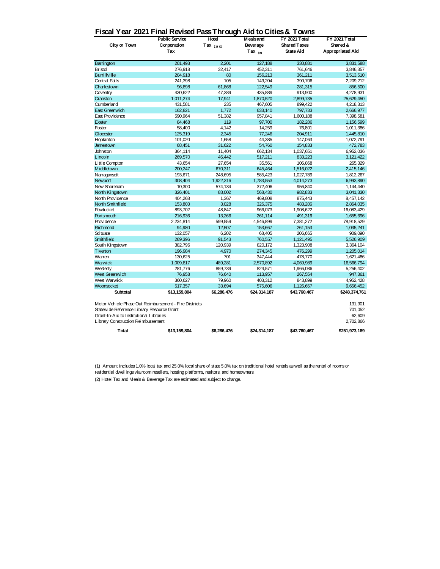## **Fiscal Year 2021 Final Revised Pass Through Aid to Cities & Towns**

|                                                        | <b>Public Service</b> | Hotel        | <b>Meals and</b> | <b>FY 2021 Total</b> | <b>FY 2021 Total</b>    |  |
|--------------------------------------------------------|-----------------------|--------------|------------------|----------------------|-------------------------|--|
| <b>City or Town</b>                                    | Corporation           | Tax $(1)(2)$ | <b>Beverage</b>  | <b>Shared Taxes</b>  | Shared &                |  |
|                                                        | Tax                   |              | Tax $_{(2)}$     | <b>State Aid</b>     | <b>Appropriated Aid</b> |  |
| Barrington                                             | 201,493               | 2,201        | 127,188          | 330,881              | 3,831,588               |  |
| <b>Bristol</b>                                         | 276,918               | 32,417       | 452,311          | 761,646              | 3,846,357               |  |
| <b>Burrillville</b>                                    | 204,918               | 80           | 156,213          | 361,211              | 3,513,510               |  |
| Central Falls                                          | 241,398               | 105          | 149,204          | 390,706              | 2,209,212               |  |
| Charlestown                                            | 96,898                | 61,868       | 122,549          | 281,315              | 856,500                 |  |
| Coventry                                               | 430,622               | 47,389       | 435,889          | 913,900              | 4,278,931               |  |
| Cranston                                               | 1,011,274             | 17,941       | 1,870,520        | 2,899,735            | 25,629,450              |  |
| Cumberland                                             | 431,581               | 235          | 467,605          | 899,422              | 4,218,313               |  |
| East Greenwich                                         | 162,821               | 1,772        | 633,140          | 797,733              | 2,666,977               |  |
| East Providence                                        | 590,964               | 51,382       | 957,841          | 1,600,188            | 7,398,581               |  |
| Exeter                                                 | 84,468                | 119          | 97,700           | 182,286              | 1,156,599               |  |
| Foster                                                 | 58,400                | 4,142        | 14,259           | 76,801               | 1,011,386               |  |
| Glocester                                              | 125,319               | 2,345        | 77,246           | 204,911              | 1,445,810               |  |
| Hopkinton                                              | 101,020               | 1,658        | 44,385           | 147,063              | 1,072,791               |  |
| Jamestown                                              | 68,451                | 31,622       | 54,760           | 154,833              | 472,783                 |  |
| Johnston                                               | 364,114               | 11,404       | 662,134          | 1,037,651            | 6,952,036               |  |
| Lincoln                                                | 269,570               | 46,442       | 517,211          | 833,223              | 3,121,422               |  |
| Little Compton                                         | 43,654                | 27,654       | 35,561           | 106,868              | 265,329                 |  |
| Middletown                                             | 200,247               | 670,311      | 645,464          | 1,516,022            | 2,415,146               |  |
| Narragansett                                           | 193,671               | 248,695      | 585,423          | 1,027,789            | 1,812,267               |  |
| Newport                                                | 308,404               | 1,922,316    | 1,783,553        | 4,014,273            | 6,993,890               |  |
| New Shoreham                                           | 10,300                | 574,134      | 372,406          | 956,840              | 1,144,440               |  |
| North Kingstown                                        | 326,401               | 88,002       | 568,430          | 982,833              | 3,041,330               |  |
| North Providence                                       | 404,268               | 1,367        | 469,808          | 875,443              | 8,457,142               |  |
| North Smithfield                                       | 153,803               | 3,028        | 326,375          | 483,206              | 2,864,035               |  |
| Pawtucket                                              | 893,702               | 48,847       | 966,073          | 1,908,622            | 16,083,429              |  |
| Portsmouth                                             | 216,936               | 13,266       | 261,114          | 491,316              | 1,655,696               |  |
| Providence                                             | 2,234,814             | 599,559      | 4,546,899        | 7,381,272            | 78,918,529              |  |
| Richmond                                               | 94,980                | 12,507       | 153,667          | 261,153              | 1,035,241               |  |
| Scituate                                               | 132,057               | 6,202        | 68,405           | 206,665              | 909,090                 |  |
| Smithfield                                             | 269,396               | 91,543       | 760,557          | 1,121,495            | 5,526,909               |  |
| South Kingstown                                        | 382,796               | 120,939      | 820,172          | 1,323,908            | 3,364,104               |  |
| Tiverton                                               | 196,984               | 4,970        | 274,345          | 476,299              | 1,205,014               |  |
| Warren                                                 | 130,625               | 701          | 347,444          | 478,770              | 1,621,486               |  |
| Warwick                                                | 1,009,817             | 489,281      | 2,570,892        | 4,069,989            | 16,566,794              |  |
| Westerly                                               | 281,776               | 859,739      | 824,571          | 1,966,086            | 5,256,402               |  |
| West Greenwich                                         | 76,958                | 76,640       | 113,957          | 267,554              | 947,361                 |  |
| West Warwick                                           | 360,627               | 79,960       | 403,312          | 843,899              | 4,952,428               |  |
| Woonsocket                                             | 517,357               | 33,694       | 575,606          | 1,126,657            | 9,656,452               |  |
| Subtotal                                               | \$13,159,804          | \$6,286,476  | \$24,314,187     | \$43,760,467         | \$248,374,761           |  |
| Motor Vehicle Phase Out Reimbursement - Fire Districts |                       |              |                  |                      | 131,901                 |  |
| Statewide Reference Library Resource Grant             |                       |              |                  |                      | 701,052                 |  |
| Grant-In-Aid to Institutional Libraries                |                       |              |                  |                      | 62,609                  |  |
| Library Construction Reimbursement                     |                       |              |                  |                      | 2,702,866               |  |
| <b>T</b> otal                                          | \$13,159,804          | \$6,286,476  | \$24,314,187     | \$43,760,467         | \$251,973,189           |  |

(2) Hotel Tax and Meals & Beverage Tax are estimated and subject to change.

(1) Amount includes 1.0% local tax and 25.0% local share of state 5.0% tax on traditional hotel rentals as well as the rental of rooms or residential dwellings via room resellers, hosting platforms, realtors, and homeowners.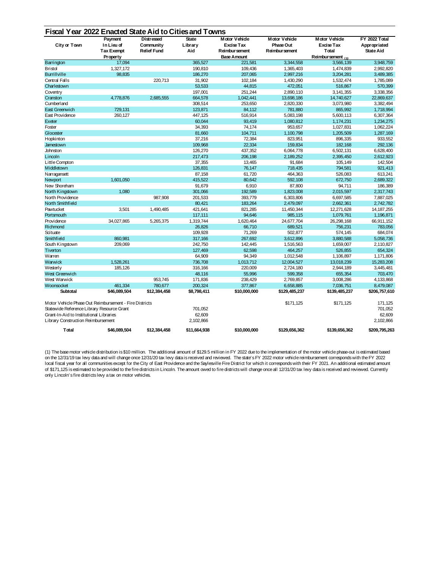## **Fiscal Year 2022 Enacted State Aid to Cities and Towns**

| <b>City or Town</b>                                                                                                                                                                   | Payment<br>In Lieu of<br><b>Tax Exempt</b><br>Property | <b>Distressed</b><br>Community<br><b>Relief Fund</b> | <b>State</b><br>Library<br>Aid | <b>Motor Vehicle</b><br><b>Excise Tax</b><br>Reimbur sement<br><b>Base Amount</b> | Motor Vehicle<br><b>Phase Out</b><br>Reimbur sement | <b>Motor Vehicle</b><br><b>Excise Tax</b><br><b>T</b> otal<br>Reimbur sement $_{(1)}$ | <b>FY 2022 Total</b><br>Appropriated<br><b>State Aid</b> |
|---------------------------------------------------------------------------------------------------------------------------------------------------------------------------------------|--------------------------------------------------------|------------------------------------------------------|--------------------------------|-----------------------------------------------------------------------------------|-----------------------------------------------------|---------------------------------------------------------------------------------------|----------------------------------------------------------|
| Barrington                                                                                                                                                                            | 17,094                                                 |                                                      | 365,527                        | 221,581                                                                           | 3,344,558                                           | 3,566,139                                                                             | 3,948,759                                                |
| <b>Bristol</b>                                                                                                                                                                        | 1,327,172                                              |                                                      | 190,810                        | 109,436                                                                           | 1,365,403                                           | 1,474,839                                                                             | 2,992,820                                                |
| <b>Burrillville</b>                                                                                                                                                                   | 98,835                                                 |                                                      | 186,270                        | 207,065                                                                           | 2,997,216                                           | 3,204,281                                                                             | 3,489,385                                                |
| Central Falls                                                                                                                                                                         |                                                        | 220,713                                              | 31,902                         | 102,184                                                                           | 1,430,290                                           | 1,532,474                                                                             | 1,785,089                                                |
| Charlestown                                                                                                                                                                           |                                                        |                                                      | 53,533                         | 44,815                                                                            | 472,051                                             | 516,867                                                                               | 570,399                                                  |
| Coventry                                                                                                                                                                              |                                                        |                                                      | 197,001                        | 251,244                                                                           | 2,890,110                                           | 3,141,355                                                                             | 3,338,356                                                |
| Cranston                                                                                                                                                                              | 4,778,876                                              | 2,685,555                                            | 664,578                        | 1,042,441                                                                         | 13,698,186                                          | 14,740,627                                                                            | 22,869,637                                               |
| Cumberland                                                                                                                                                                            |                                                        |                                                      | 308,514                        | 253,650                                                                           | 2,820,330                                           | 3,073,980                                                                             | 3,382,494                                                |
| East Greenwich                                                                                                                                                                        | 729,131                                                |                                                      | 123,871                        | 84,112                                                                            | 781,880                                             | 865,992                                                                               | 1,718,994                                                |
| East Providence                                                                                                                                                                       | 260,127                                                |                                                      | 447,125                        | 516,914                                                                           | 5,083,198                                           | 5,600,113                                                                             | 6,307,364                                                |
| Exeter                                                                                                                                                                                |                                                        |                                                      | 60,044                         | 93,419                                                                            | 1,080,812                                           | 1,174,231                                                                             | 1,234,275                                                |
| Foster                                                                                                                                                                                |                                                        |                                                      | 34,393                         | 74,174                                                                            | 953,657                                             | 1,027,831                                                                             | 1,062,224                                                |
| Glocester                                                                                                                                                                             |                                                        |                                                      | 81,660                         | 104,711                                                                           | 1,100,798                                           | 1,205,509                                                                             | 1,287,169                                                |
| Hopkinton                                                                                                                                                                             |                                                        |                                                      | 37,216                         | 72,384                                                                            | 823,951                                             | 896,335                                                                               | 933,552                                                  |
| Jamestown                                                                                                                                                                             |                                                        |                                                      | 109,968                        | 22,334                                                                            | 159,834                                             | 182,168                                                                               | 292,136                                                  |
| Johnston                                                                                                                                                                              |                                                        |                                                      | 126,270                        | 437,352                                                                           | 6,064,778                                           | 6,502,131                                                                             | 6,628,400                                                |
| Lincoln                                                                                                                                                                               |                                                        |                                                      | 217,473                        | 206,198                                                                           | 2,189,252                                           | 2,395,450                                                                             | 2,612,923                                                |
| Little Compton                                                                                                                                                                        |                                                        |                                                      | 37,355                         | 13,465                                                                            | 91,684                                              | 105,149                                                                               | 142,504                                                  |
| Middletown                                                                                                                                                                            |                                                        |                                                      | 126,831                        | 76,147                                                                            | 718,435                                             | 794,581                                                                               | 921,413                                                  |
| Narragansett                                                                                                                                                                          |                                                        |                                                      | 87,158                         | 61,720                                                                            | 464,363                                             | 526,083                                                                               | 613,241                                                  |
| Newport                                                                                                                                                                               | 1,601,050                                              |                                                      | 415,522                        | 80,642                                                                            | 592,108                                             | 672,750                                                                               | 2,689,322                                                |
| New Shoreham                                                                                                                                                                          |                                                        |                                                      | 91,679                         | 6,910                                                                             | 87,800                                              | 94,711                                                                                | 186,389                                                  |
| North Kingstown                                                                                                                                                                       | 1,080                                                  |                                                      | 301,066                        | 192,589                                                                           | 1,823,008                                           | 2,015,597                                                                             | 2,317,743                                                |
| North Providence                                                                                                                                                                      |                                                        | 987,908                                              | 201,533                        | 393,779                                                                           | 6,303,806                                           | 6,697,585                                                                             | 7,887,025                                                |
| North Smithfield                                                                                                                                                                      |                                                        |                                                      | 80,421                         | 183,264                                                                           | 2,479,097                                           | 2,662,361                                                                             | 2,742,782                                                |
| Pawtucket                                                                                                                                                                             | 3,501                                                  | 1,490,485                                            | 421,641                        | 821,285                                                                           | 11,450,344                                          | 12,271,628                                                                            | 14, 187, 255                                             |
| Portsmouth                                                                                                                                                                            |                                                        |                                                      | 117,111                        | 94,646                                                                            | 985,115                                             | 1,079,761                                                                             | 1,196,871                                                |
| Providence                                                                                                                                                                            | 34,027,865                                             | 5,265,375                                            | 1,319,744                      | 1,620,464                                                                         | 24,677,704                                          | 26,298,168                                                                            | 66,911,152                                               |
| Richmond                                                                                                                                                                              |                                                        |                                                      | 26,826                         | 66,710                                                                            | 689,521                                             | 756,231                                                                               | 783,056                                                  |
| Scituate                                                                                                                                                                              |                                                        |                                                      | 109,928                        | 71,269                                                                            | 502,877                                             | 574,145                                                                               | 684,074                                                  |
| Smithfield                                                                                                                                                                            | 860,981                                                |                                                      | 317,166                        | 267,692                                                                           | 3,612,896                                           | 3,880,588                                                                             | 5,058,736                                                |
| South Kingstown                                                                                                                                                                       | 209,069                                                |                                                      | 242,750                        | 142,445                                                                           | 1,516,563                                           | 1,659,007                                                                             | 2,110,827                                                |
| Tiverton                                                                                                                                                                              |                                                        |                                                      | 127,469                        | 62,598                                                                            | 464,257                                             | 526,855                                                                               | 654,324                                                  |
| Warren                                                                                                                                                                                |                                                        |                                                      | 64,909                         | 94,349                                                                            | 1,012,548                                           | 1,106,897                                                                             | 1,171,806                                                |
| Warwick                                                                                                                                                                               | 1,528,261                                              |                                                      | 736,708                        | 1,013,712                                                                         | 12,004,527                                          | 13,018,239                                                                            | 15,283,208                                               |
| Westerly                                                                                                                                                                              | 185,126                                                |                                                      | 316,166                        | 220,009                                                                           | 2,724,180                                           | 2,944,189                                                                             | 3,445,481                                                |
| West Greenwich                                                                                                                                                                        |                                                        |                                                      | 48,116                         | 55,996                                                                            | 599,358                                             | 655,354                                                                               | 703,470                                                  |
| West Warwick                                                                                                                                                                          |                                                        | 953,745                                              | 171,836                        | 238,429                                                                           | 2,769,857                                           | 3,008,286                                                                             | 4,133,868                                                |
| Woonsocket                                                                                                                                                                            | 461,334                                                | 780,677                                              | 200,324                        | 377,867                                                                           | 6,658,885                                           | 7,036,751                                                                             | 8,479,087                                                |
| Subtotal                                                                                                                                                                              | \$46,089,504                                           | \$12,384,458                                         | \$8,798,411                    | \$10,000,000                                                                      | \$129,485,237                                       | \$139,485,237                                                                         | \$206,757,610                                            |
| Motor Vehicle Phase Out Reimbursement - Fire Districts<br>Statewide Reference Library Resource Grant<br>Grant-In-Aid to Institutional Libraries<br>Library Construction Reimbursement |                                                        |                                                      | 701,052<br>62,609<br>2,102,866 |                                                                                   | \$171,125                                           | \$171,125                                                                             | 171,125<br>701,052<br>62,609<br>2,102,866                |
| <b>Total</b>                                                                                                                                                                          | \$46,089,504                                           | \$12,384,458                                         | \$11,664,938                   | \$10,000,000                                                                      | \$129,656,362                                       | \$139,656,362                                                                         | \$209,795,263                                            |

(1) The base motor vehicle distribution is \$10 million. The additional amount of \$129.5 million in FY 2022 due to the implementation of the motor vehicle phase-out is estimated based on the 12/31/19 tax levy data and will change once 12/31/20 tax levy data is received and reviewed. The state's FY 2022 motor vehicle reimbursement corresponds with the FY 2022 local fiscal year for all communities except for the City of East Providence and the Saylesville Fire District for which it corresponds with their FY 2021. An additional estimated amount of \$171,125 is estimated to be provided to the fire districts in Lincoln. The amount owed to fire districts will change once all 12/31/20 tax levy data is received and reviewed. Currently only Lincoln's fire districts levy a tax on motor vehicles.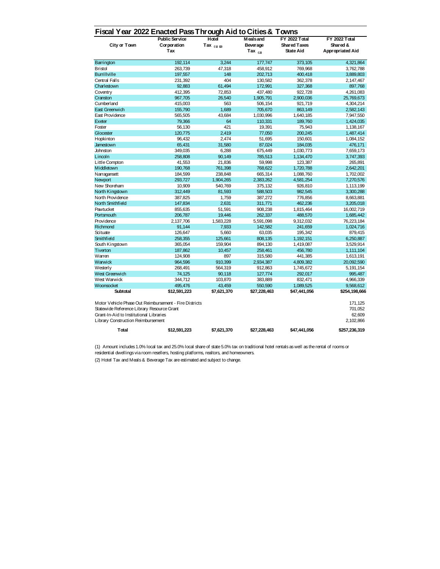## **Fiscal Year 2022 Enacted Pass Through Aid to Cities & Towns**

| <b>City or Town</b>                                                                                                                                                                   | <b>Public Service</b><br>Corporation<br>Tax | יי יש<br>Hotel<br>Tax $(1)$ $(2)$ | <b>Meals and</b><br><b>Beverage</b><br>Tax $(2)$ | <b>FY 2022 Total</b><br><b>Shared Taxes</b><br><b>State Aid</b> | FY 2022 Total<br>Shared &<br><b>Appropriated Aid</b> |
|---------------------------------------------------------------------------------------------------------------------------------------------------------------------------------------|---------------------------------------------|-----------------------------------|--------------------------------------------------|-----------------------------------------------------------------|------------------------------------------------------|
| Barrington                                                                                                                                                                            | 192,114                                     | 3,244                             | 177,747                                          | 373,105                                                         | 4,321,864                                            |
| <b>Bristol</b>                                                                                                                                                                        | 263,739                                     | 47,318                            | 458,912                                          | 769,968                                                         | 3,762,788                                            |
| <b>Burrillville</b>                                                                                                                                                                   | 197,557                                     | 148                               | 202,713                                          | 400,418                                                         | 3,889,803                                            |
| Central Falls                                                                                                                                                                         | 231,392                                     | 404                               | 130,582                                          | 362,378                                                         | 2,147,467                                            |
| Charlestown                                                                                                                                                                           | 92,883                                      | 61,494                            | 172,991                                          | 327,368                                                         | 897,768                                              |
| Coventry                                                                                                                                                                              | 412,395                                     | 72,853                            | 437,480                                          | 922,728                                                         | 4,261,083                                            |
| Cranston                                                                                                                                                                              | 967,705                                     | 26,540                            | 1,905,791                                        | 2,900,036                                                       | 25,769,673                                           |
| Cumberland                                                                                                                                                                            | 415,003                                     | 563                               | 506,154                                          | 921,719                                                         | 4,304,214                                            |
| East Greenwich                                                                                                                                                                        | 155,790                                     | 1,689                             | 705,670                                          | 863,149                                                         | 2,582,143                                            |
| East Providence                                                                                                                                                                       | 565,505                                     | 43,684                            | 1,030,996                                        | 1,640,185                                                       | 7,947,550                                            |
| Exeter                                                                                                                                                                                | 79,366                                      | 64                                | 110,331                                          | 189,760                                                         | 1,424,035                                            |
| Foster                                                                                                                                                                                | 56,130                                      | 421                               | 19,391                                           | 75,943                                                          | 1,138,167                                            |
| Glocester                                                                                                                                                                             | 120,775                                     | 2,419                             | 77,050                                           | 200,245                                                         | 1,487,414                                            |
| Hopkinton                                                                                                                                                                             | 96,432                                      | 2,474                             | 51,695                                           | 150,601                                                         | 1,084,152                                            |
| Jamestown                                                                                                                                                                             | 65,431                                      | 31,580                            | 87,024                                           | 184,035                                                         | 476,171                                              |
| Johnston                                                                                                                                                                              | 349,035                                     | 6,288                             | 675,449                                          | 1,030,773                                                       | 7,659,173                                            |
| Lincoln                                                                                                                                                                               | 258,808                                     | 90,149                            | 785,513                                          | 1,134,470                                                       | 3,747,393                                            |
| Little Compton                                                                                                                                                                        | 41,553                                      | 21,836                            | 59,998                                           | 123,387                                                         | 265,891                                              |
| Middletown                                                                                                                                                                            | 190,768                                     | 761,398                           | 768,622                                          | 1,720,788                                                       | 2,642,201                                            |
| Narragansett                                                                                                                                                                          | 184,599                                     | 238,848                           | 665,314                                          | 1,088,760                                                       | 1,702,002                                            |
| Newport                                                                                                                                                                               | 293,727                                     | 1,904,265                         | 2,383,262                                        | 4,581,254                                                       | 7,270,576                                            |
| New Shoreham                                                                                                                                                                          | 10,909                                      | 540,769                           | 375,132                                          | 926,810                                                         | 1,113,199                                            |
| North Kingstown                                                                                                                                                                       | 312,449                                     | 81,593                            | 588,503                                          | 982,545                                                         | 3,300,288                                            |
| North Providence                                                                                                                                                                      | 387,825                                     | 1,759                             | 387,272                                          | 776,856                                                         | 8,663,881                                            |
| North Smithfield                                                                                                                                                                      | 147,834                                     | 2,631                             | 311,771                                          | 462,236                                                         | 3,205,018                                            |
| Pawtucket                                                                                                                                                                             | 855,635                                     | 51,591                            | 908,238                                          | 1,815,464                                                       | 16,002,719                                           |
| Portsmouth                                                                                                                                                                            | 206,787                                     | 19,446                            | 262,337                                          | 488,570                                                         | 1,685,442                                            |
| Providence                                                                                                                                                                            | 2,137,706                                   | 1,583,228                         | 5,591,098                                        | 9,312,032                                                       | 76,223,184                                           |
| Richmond                                                                                                                                                                              | 91,144                                      | 7,933                             | 142,582                                          | 241,659                                                         | 1,024,716                                            |
| Scituate                                                                                                                                                                              | 126,647                                     | 5,660                             | 63,035                                           | 195,342                                                         | 879,415                                              |
| Smithfield                                                                                                                                                                            | 258,355                                     | 125,661                           | 808,135                                          | 1,192,151                                                       | 6,250,887                                            |
| South Kingstown                                                                                                                                                                       | 365,054                                     | 159,904                           | 894,130                                          | 1,419,087                                                       | 3,529,914                                            |
| Tiverton                                                                                                                                                                              | 187,862                                     | 10,457                            | 258,461                                          | 456,780                                                         | 1,111,104                                            |
| Warren                                                                                                                                                                                | 124,908                                     | 897                               | 315,580                                          | 441,385                                                         | 1,613,191                                            |
| Warwick                                                                                                                                                                               | 964,596                                     | 910,399                           | 2,934,387                                        | 4,809,382                                                       | 20,092,590                                           |
| Westerly                                                                                                                                                                              | 268,491                                     | 564,319                           | 912,863                                          | 1,745,672                                                       | 5,191,154                                            |
| West Greenwich                                                                                                                                                                        | 74,125                                      | 90,118                            | 127,774                                          | 292,017                                                         | 995,487                                              |
| West Warwick                                                                                                                                                                          | 344,712                                     | 103,870                           | 383,889                                          | 832,471                                                         | 4,966,339                                            |
| Woonsocket                                                                                                                                                                            | 495,476                                     | 43,459                            | 550,590                                          | 1,089,525                                                       | 9,568,612                                            |
| Subtotal                                                                                                                                                                              | \$12,591,223                                | \$7,621,370                       | \$27,228,463                                     | \$47,441,056                                                    | \$254,198,666                                        |
| Motor Vehicle Phase Out Reimbursement - Fire Districts<br>Statewide Reference Library Resource Grant<br>Grant-In-Aid to Institutional Libraries<br>Library Construction Reimbursement |                                             |                                   |                                                  |                                                                 | 171,125<br>701,052<br>62,609<br>2,102,866            |
| <b>T</b> otal                                                                                                                                                                         | \$12,591,223                                | \$7,621,370                       | \$27,228,463                                     | \$47,441,056                                                    | \$257,236,319                                        |

(2) Hotel Tax and Meals & Beverage Tax are estimated and subject to change.

(1) Amount includes 1.0% local tax and 25.0% local share of state 5.0% tax on traditional hotel rentals as well as the rental of rooms or residential dwellings via room resellers, hosting platforms, realtors, and homeowners.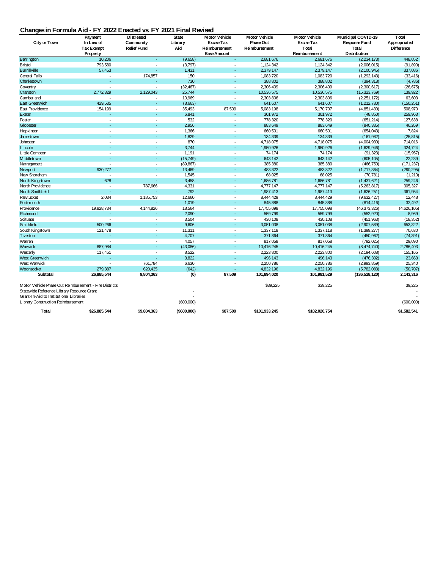| <b>City or Town</b>                                                                                                                                                                   | Payment<br>In Lieu of<br><b>Tax Exempt</b><br>Property | <b>Distressed</b><br>Community<br><b>Relief Fund</b> | <b>State</b><br>Library<br>Aid | <b>Motor Vehicle</b><br><b>Excise Tax</b><br>Reimbursement<br><b>Base Amount</b> | <b>Motor Vehicle</b><br>Phase Out<br><b>Reimbursement</b> | <b>Motor Vehicle</b><br><b>Excise Tax</b><br><b>Total</b><br><b>Reimbursement</b> | <b>Municipal COVID-19</b><br>Response Fund<br><b>Total</b><br>Distribution | <b>Total</b><br>Appropriated<br><b>Difference</b> |
|---------------------------------------------------------------------------------------------------------------------------------------------------------------------------------------|--------------------------------------------------------|------------------------------------------------------|--------------------------------|----------------------------------------------------------------------------------|-----------------------------------------------------------|-----------------------------------------------------------------------------------|----------------------------------------------------------------------------|---------------------------------------------------|
| Barrington                                                                                                                                                                            | 10,206                                                 | ٠                                                    | (9,658)                        | $\sim$                                                                           | 2,681,676                                                 | 2,681,676                                                                         | (2,234,173)                                                                | 448,052                                           |
| <b>Bristol</b>                                                                                                                                                                        | 793,580                                                |                                                      | (3,797)                        | $\sim$                                                                           | 1,124,342                                                 | 1,124,342                                                                         | (2,006,015)                                                                | (91, 890)                                         |
| <b>Burrillville</b>                                                                                                                                                                   | 57,453                                                 |                                                      | 1,431                          | $\sim$                                                                           | 2,379,147                                                 | 2,379,147                                                                         | (2,100,945)                                                                | 337,086                                           |
| Central Falls                                                                                                                                                                         |                                                        | 174,857                                              | 150                            | $\sim$                                                                           | 1,083,720                                                 | 1,083,720                                                                         | (1,292,143)                                                                | (33, 416)                                         |
| Charlestown                                                                                                                                                                           |                                                        |                                                      | 730                            | $\sim$                                                                           | 388,802                                                   | 388,802                                                                           | (394, 318)                                                                 | (4,786)                                           |
| Coventry                                                                                                                                                                              |                                                        |                                                      | (32, 467)                      | $\blacksquare$                                                                   | 2,306,409                                                 | 2,306,409                                                                         | (2,300,617)                                                                | (26, 675)                                         |
| Cranston                                                                                                                                                                              | 2,772,329                                              | 2,129,043                                            | 25,744                         | $\sim$                                                                           | 10,536,575                                                | 10,536,575                                                                        | (15,323,769)                                                               | 139,922                                           |
| Cumberland                                                                                                                                                                            |                                                        |                                                      | 10,969                         |                                                                                  | 2,303,806                                                 | 2,303,806                                                                         | (2,251,172)                                                                | 63,603                                            |
| East Greenwich                                                                                                                                                                        | 429,535                                                |                                                      | (8,663)                        |                                                                                  | 641,607                                                   | 641,607                                                                           | (1,212,730)                                                                | (150, 251)                                        |
| East Providence                                                                                                                                                                       | 154,199                                                |                                                      | 35,493                         | 87,509                                                                           | 5,083,198                                                 | 5,170,707                                                                         | (4,851,430)                                                                | 508,970                                           |
| Exeter                                                                                                                                                                                |                                                        |                                                      | 6,841                          | $\sim$                                                                           | 301,972                                                   | 301,972                                                                           | (48, 850)                                                                  | 259,963                                           |
| Foster                                                                                                                                                                                |                                                        |                                                      | 532                            | $\sim$                                                                           | 778,320                                                   | 778,320                                                                           | (651, 214)                                                                 | 127,638                                           |
| Glocester                                                                                                                                                                             |                                                        |                                                      | 2,956                          | $\sim$                                                                           | 883,649                                                   | 883,649                                                                           | (840, 335)                                                                 | 46,269                                            |
| Hopkinton                                                                                                                                                                             |                                                        |                                                      | 1,366                          | $\sim$                                                                           | 660,501                                                   | 660,501                                                                           | (654, 043)                                                                 | 7,824                                             |
| Jamestown                                                                                                                                                                             |                                                        |                                                      | 1,829                          |                                                                                  | 134,339                                                   | 134,339                                                                           | (161, 982)                                                                 | (25, 815)                                         |
| Johnston                                                                                                                                                                              |                                                        |                                                      | 870                            | $\sim$                                                                           | 4,718,075                                                 | 4,718,075                                                                         | (4,004,930)                                                                | 714,016                                           |
| Lincoln                                                                                                                                                                               |                                                        |                                                      | 3,744                          | $\sim$                                                                           | 1,950,926                                                 | 1,950,926                                                                         | (1,629,946)                                                                | 324,724                                           |
| Little Compton                                                                                                                                                                        |                                                        |                                                      | 1,191                          | $\blacksquare$                                                                   | 74,174                                                    | 74,174                                                                            | (91, 323)                                                                  | (15, 957)                                         |
| Middletown                                                                                                                                                                            |                                                        |                                                      | (15, 749)                      | $\sim$                                                                           | 643,142                                                   | 643,142                                                                           | (605, 105)                                                                 | 22,289                                            |
| Narragansett                                                                                                                                                                          |                                                        |                                                      | (89, 867)                      | $\sim$                                                                           | 385,380                                                   | 385,380                                                                           | (466, 750)                                                                 | (171, 237)                                        |
| Newport                                                                                                                                                                               | 930,277                                                |                                                      | 13,469                         | $\sim$                                                                           | 483,322                                                   | 483,322                                                                           | (1,717,364)                                                                | (290, 295)                                        |
| New Shoreham                                                                                                                                                                          |                                                        |                                                      | 1,545                          |                                                                                  | 68,025                                                    | 68,025                                                                            | (70, 781)                                                                  | (1,210)                                           |
| North Kingstown                                                                                                                                                                       | 628                                                    |                                                      | 3,458                          | $\sim$                                                                           | 1,686,781                                                 | 1,686,781                                                                         | (1,431,621)                                                                | 259,246                                           |
| North Providence                                                                                                                                                                      |                                                        | 787,666                                              | 4,331                          | $\overline{\phantom{a}}$                                                         | 4,777,147                                                 | 4,777,147                                                                         | (5,263,817)                                                                | 305,327                                           |
| North Smithfield                                                                                                                                                                      |                                                        |                                                      | 792                            | $\sim$                                                                           | 1,987,413                                                 | 1,987,413                                                                         | (1,626,251)                                                                | 361,954                                           |
| Pawtucket                                                                                                                                                                             | 2,034                                                  | 1,185,753                                            | 12,660                         | $\sim$                                                                           | 8,444,429                                                 | 8,444,429                                                                         | (9,632,427)                                                                | 12,448                                            |
| Portsmouth                                                                                                                                                                            |                                                        |                                                      | 1,019                          | $\sim$                                                                           | 845,888                                                   | 845,888                                                                           | (814, 416)                                                                 | 32,492                                            |
| Providence                                                                                                                                                                            | 19,828,734                                             | 4,144,826                                            | 18,564                         | $\sim$                                                                           | 17,755,098                                                | 17,755,098                                                                        | (46, 373, 326)                                                             | (4,626,105)                                       |
| Richmond                                                                                                                                                                              |                                                        |                                                      | 2,090                          | $\sim$                                                                           | 559,799                                                   | 559,799                                                                           | (552, 920)                                                                 | 8,969                                             |
| Scituate                                                                                                                                                                              |                                                        |                                                      | 3,504                          |                                                                                  | 430,108                                                   | 430,108                                                                           | (451, 963)                                                                 | (18, 352)                                         |
| Smithfield                                                                                                                                                                            | 500,266                                                |                                                      | 9,606                          | $\sim$                                                                           | 3,051,038                                                 | 3,051,038                                                                         | (2,907,589)                                                                | 653,322                                           |
| South Kingstown                                                                                                                                                                       | 121,478                                                |                                                      | 11,311                         | $\sim$                                                                           | 1,337,118                                                 | 1,337,118                                                                         | (1,399,277)                                                                | 70,630                                            |
| Tiverton                                                                                                                                                                              |                                                        | ٠                                                    | 4,707                          | $\sim$                                                                           | 371,864                                                   | 371,864                                                                           | (450, 962)                                                                 | (74, 391)                                         |
| Warren                                                                                                                                                                                |                                                        |                                                      | 4,057                          | $\sim$                                                                           | 817,058                                                   | 817,058                                                                           | (792, 025)                                                                 | 29,090                                            |
| Warwick                                                                                                                                                                               | 887,984                                                | $\sim$                                               | (43,086)                       | $\sim$                                                                           | 10,416,245                                                | 10,416,245                                                                        | (8,474,740)                                                                | 2,786,403                                         |
| Westerly                                                                                                                                                                              | 117,451                                                |                                                      | 8,522                          | $\sim$                                                                           | 2,223,800                                                 | 2,223,800                                                                         | (2, 194, 608)                                                              | 155,165                                           |
| West Greenwich                                                                                                                                                                        |                                                        | $\sim$                                               | 3,822                          | $\sim$                                                                           | 496,143                                                   | 496,143                                                                           | (476, 302)                                                                 | 23,663                                            |
| West Warwick                                                                                                                                                                          |                                                        | 761,784                                              | 6,630                          | $\sim$                                                                           | 2,250,786                                                 | 2,250,786                                                                         | (2,993,859)                                                                | 25,340                                            |
| Woonsocket                                                                                                                                                                            | 279,387                                                | 620,435                                              | (642)                          |                                                                                  | 4,832,196                                                 | 4,832,196                                                                         | (5,782,083)                                                                | (50, 707)                                         |
| Subtotal                                                                                                                                                                              | 26,885,544                                             | 9,804,363                                            | (0)                            | 87,509                                                                           | 101,894,020                                               | 101,981,529                                                                       | (136, 528, 120)                                                            | 2,143,316                                         |
| Motor Vehicle Phase Out Reimbursement - Fire Districts<br>Statewide Reference Library Resource Grant<br>Grant-In-Aid to Institutional Libraries<br>Library Construction Reimbursement |                                                        |                                                      | (600,000)                      |                                                                                  | \$39,225                                                  | \$39,225                                                                          |                                                                            | 39,225<br>(600,000)                               |
| <b>T</b> otal                                                                                                                                                                         | \$26,885,544                                           | \$9,804,363                                          | (\$600,000)                    | \$87,509                                                                         | \$101,933,245                                             | \$102,020,754                                                                     |                                                                            | \$1,582,541                                       |